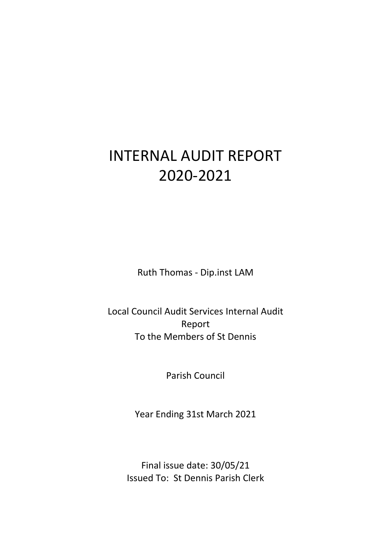# INTERNAL AUDIT REPORT 2020-2021

Ruth Thomas - Dip.inst LAM

Local Council Audit Services Internal Audit Report To the Members of St Dennis

Parish Council

Year Ending 31st March 2021

Final issue date: 30/05/21 Issued To: St Dennis Parish Clerk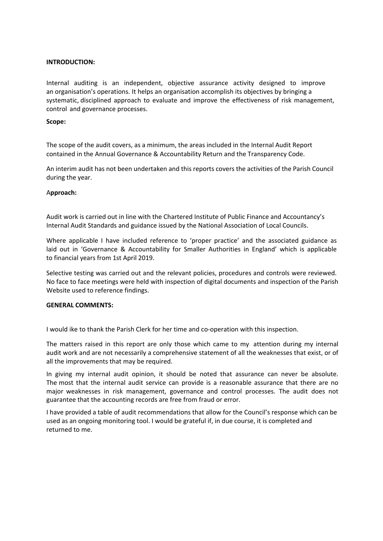## **INTRODUCTION:**

Internal auditing is an independent, objective assurance activity designed to improve an organisation's operations. It helps an organisation accomplish its objectives by bringing a systematic, disciplined approach to evaluate and improve the effectiveness of risk management, control and governance processes.

#### **Scope:**

The scope of the audit covers, as a minimum, the areas included in the Internal Audit Report contained in the Annual Governance & Accountability Return and the Transparency Code.

An interim audit has not been undertaken and this reports covers the activities of the Parish Council during the year.

### A**pproach:**

Audit work is carried out in line with the Chartered Institute of Public Finance and Accountancy's Internal Audit Standards and guidance issued by the National Association of Local Councils.

Where applicable I have included reference to 'proper practice' and the associated guidance as laid out in 'Governance & Accountability for Smaller Authorities in England' which is applicable to financial years from 1st April 2019.

Selective testing was carried out and the relevant policies, procedures and controls were reviewed. No face to face meetings were held with inspection of digital documents and inspection of the Parish Website used to reference findings.

#### **GENERAL COMMENTS:**

I would ike to thank the Parish Clerk for her time and co-operation with this inspection.

The matters raised in this report are only those which came to my attention during my internal audit work and are not necessarily a comprehensive statement of all the weaknesses that exist, or of all the improvements that may be required.

In giving my internal audit opinion, it should be noted that assurance can never be absolute. The most that the internal audit service can provide is a reasonable assurance that there are no major weaknesses in risk management, governance and control processes. The audit does not guarantee that the accounting records are free from fraud or error.

I have provided a table of audit recommendations that allow for the Council's response which can be used as an ongoing monitoring tool. I would be grateful if, in due course, it is completed and returned to me.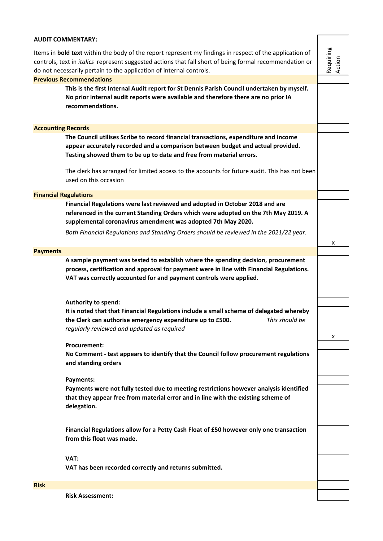| <b>AUDIT COMMENTARY:</b>                                                                                                                                                                                                                                                                                |                                                                                                                                                                                                                                                     |                     |  |
|---------------------------------------------------------------------------------------------------------------------------------------------------------------------------------------------------------------------------------------------------------------------------------------------------------|-----------------------------------------------------------------------------------------------------------------------------------------------------------------------------------------------------------------------------------------------------|---------------------|--|
| Items in <b>bold text</b> within the body of the report represent my findings in respect of the application of<br>controls, text in <i>italics</i> represent suggested actions that fall short of being formal recommendation or<br>do not necessarily pertain to the application of internal controls. |                                                                                                                                                                                                                                                     |                     |  |
|                                                                                                                                                                                                                                                                                                         | <b>Previous Recommendations</b>                                                                                                                                                                                                                     | Requiring<br>Action |  |
|                                                                                                                                                                                                                                                                                                         | This is the first Internal Audit report for St Dennis Parish Council undertaken by myself.<br>No prior internal audit reports were available and therefore there are no prior IA<br>recommendations.                                                |                     |  |
| <b>Accounting Records</b>                                                                                                                                                                                                                                                                               |                                                                                                                                                                                                                                                     |                     |  |
|                                                                                                                                                                                                                                                                                                         | The Council utilises Scribe to record financial transactions, expenditure and income<br>appear accurately recorded and a comparison between budget and actual provided.<br>Testing showed them to be up to date and free from material errors.      |                     |  |
|                                                                                                                                                                                                                                                                                                         | The clerk has arranged for limited access to the accounts for future audit. This has not been<br>used on this occasion                                                                                                                              |                     |  |
| <b>Financial Regulations</b>                                                                                                                                                                                                                                                                            |                                                                                                                                                                                                                                                     |                     |  |
|                                                                                                                                                                                                                                                                                                         | Financial Regulations were last reviewed and adopted in October 2018 and are<br>referenced in the current Standing Orders which were adopted on the 7th May 2019. A<br>supplemental coronavirus amendment was adopted 7th May 2020.                 |                     |  |
|                                                                                                                                                                                                                                                                                                         | Both Financial Regulations and Standing Orders should be reviewed in the 2021/22 year.                                                                                                                                                              | x                   |  |
| <b>Payments</b>                                                                                                                                                                                                                                                                                         |                                                                                                                                                                                                                                                     |                     |  |
|                                                                                                                                                                                                                                                                                                         | A sample payment was tested to establish where the spending decision, procurement<br>process, certification and approval for payment were in line with Financial Regulations.<br>VAT was correctly accounted for and payment controls were applied. |                     |  |
|                                                                                                                                                                                                                                                                                                         |                                                                                                                                                                                                                                                     |                     |  |
|                                                                                                                                                                                                                                                                                                         | Authority to spend:<br>It is noted that that Financial Regulations include a small scheme of delegated whereby<br>the Clerk can authorise emergency expenditure up to £500.<br>This should be<br>regularly reviewed and updated as required         |                     |  |
|                                                                                                                                                                                                                                                                                                         | <b>Procurement:</b>                                                                                                                                                                                                                                 | x                   |  |
|                                                                                                                                                                                                                                                                                                         | No Comment - test appears to identify that the Council follow procurement regulations<br>and standing orders                                                                                                                                        |                     |  |
|                                                                                                                                                                                                                                                                                                         | Payments:                                                                                                                                                                                                                                           |                     |  |
|                                                                                                                                                                                                                                                                                                         | Payments were not fully tested due to meeting restrictions however analysis identified<br>that they appear free from material error and in line with the existing scheme of<br>delegation.                                                          |                     |  |
|                                                                                                                                                                                                                                                                                                         | Financial Regulations allow for a Petty Cash Float of £50 however only one transaction<br>from this float was made.                                                                                                                                 |                     |  |
|                                                                                                                                                                                                                                                                                                         | VAT:<br>VAT has been recorded correctly and returns submitted.                                                                                                                                                                                      |                     |  |
|                                                                                                                                                                                                                                                                                                         |                                                                                                                                                                                                                                                     |                     |  |
| <b>Risk</b>                                                                                                                                                                                                                                                                                             |                                                                                                                                                                                                                                                     |                     |  |
|                                                                                                                                                                                                                                                                                                         | <b>Risk Assessment:</b>                                                                                                                                                                                                                             |                     |  |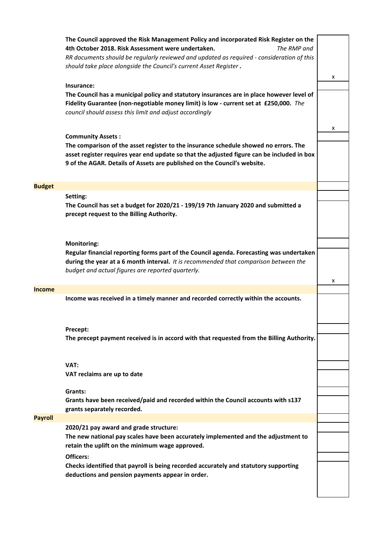|                | The Council approved the Risk Management Policy and incorporated Risk Register on the<br>4th October 2018. Risk Assessment were undertaken.<br>The RMP and<br>RR documents should be regularly reviewed and updated as required - consideration of this<br>should take place alongside the Council's current Asset Register. |   |
|----------------|------------------------------------------------------------------------------------------------------------------------------------------------------------------------------------------------------------------------------------------------------------------------------------------------------------------------------|---|
|                | Insurance:<br>The Council has a municipal policy and statutory insurances are in place however level of<br>Fidelity Guarantee (non-negotiable money limit) is low - current set at £250,000. The<br>council should assess this limit and adjust accordingly                                                                  | x |
|                | <b>Community Assets:</b><br>The comparison of the asset register to the insurance schedule showed no errors. The<br>asset register requires year end update so that the adjusted figure can be included in box<br>9 of the AGAR. Details of Assets are published on the Council's website.                                   | x |
| <b>Budget</b>  |                                                                                                                                                                                                                                                                                                                              |   |
|                | Setting:<br>The Council has set a budget for 2020/21 - 199/19 7th January 2020 and submitted a<br>precept request to the Billing Authority.                                                                                                                                                                                  |   |
|                | <b>Monitoring:</b><br>Regular financial reporting forms part of the Council agenda. Forecasting was undertaken<br>during the year at a 6 month interval. It is recommended that comparison between the<br>budget and actual figures are reported quarterly.                                                                  | x |
| Income         |                                                                                                                                                                                                                                                                                                                              |   |
|                | Income was received in a timely manner and recorded correctly within the accounts.                                                                                                                                                                                                                                           |   |
|                | Precept:<br>The precept payment received is in accord with that requested from the Billing Authority.                                                                                                                                                                                                                        |   |
|                | VAT:<br>VAT reclaims are up to date                                                                                                                                                                                                                                                                                          |   |
|                | Grants:<br>Grants have been received/paid and recorded within the Council accounts with s137<br>grants separately recorded.                                                                                                                                                                                                  |   |
| <b>Payroll</b> |                                                                                                                                                                                                                                                                                                                              |   |
|                | 2020/21 pay award and grade structure:<br>The new national pay scales have been accurately implemented and the adjustment to<br>retain the uplift on the minimum wage approved.                                                                                                                                              |   |
|                | Officers:<br>Checks identified that payroll is being recorded accurately and statutory supporting<br>deductions and pension payments appear in order.                                                                                                                                                                        |   |
|                |                                                                                                                                                                                                                                                                                                                              |   |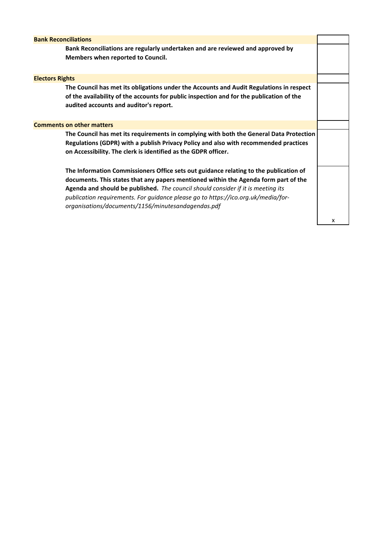| <b>Bank Reconciliations</b>                                                                                                                                                                                                                                                                                                                                                                                 |   |  |  |
|-------------------------------------------------------------------------------------------------------------------------------------------------------------------------------------------------------------------------------------------------------------------------------------------------------------------------------------------------------------------------------------------------------------|---|--|--|
| Bank Reconciliations are regularly undertaken and are reviewed and approved by<br>Members when reported to Council.                                                                                                                                                                                                                                                                                         |   |  |  |
| <b>Electors Rights</b>                                                                                                                                                                                                                                                                                                                                                                                      |   |  |  |
| The Council has met its obligations under the Accounts and Audit Regulations in respect<br>of the availability of the accounts for public inspection and for the publication of the<br>audited accounts and auditor's report.                                                                                                                                                                               |   |  |  |
| <b>Comments on other matters</b>                                                                                                                                                                                                                                                                                                                                                                            |   |  |  |
| The Council has met its requirements in complying with both the General Data Protection<br>Regulations (GDPR) with a publish Privacy Policy and also with recommended practices<br>on Accessibility. The clerk is identified as the GDPR officer.                                                                                                                                                           |   |  |  |
| The Information Commissioners Office sets out guidance relating to the publication of<br>documents. This states that any papers mentioned within the Agenda form part of the<br>Agenda and should be published. The council should consider if it is meeting its<br>publication requirements. For quidance please go to https://ico.org.uk/media/for-<br>organisations/documents/1156/minutesandagendas.pdf |   |  |  |
|                                                                                                                                                                                                                                                                                                                                                                                                             | x |  |  |